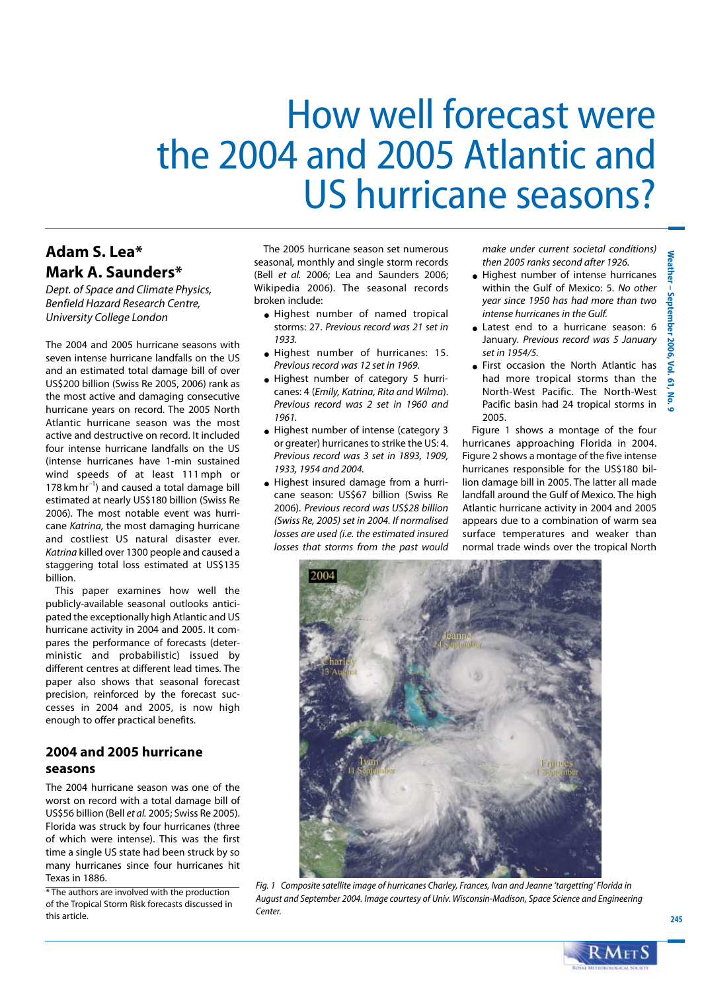# How well forecast were the 2004 and 2005 Atlantic and **US hurricane seasons?**

# Adam S. Lea\* Mark A. Saunders\*

Dept. of Space and Climate Physics, Benfield Hazard Research Centre, University College London

The 2004 and 2005 hurricane seasons with seven intense hurricane landfalls on the US and an estimated total damage bill of over US\$200 billion (Swiss Re 2005, 2006) rank as the most active and damaging consecutive hurricane years on record. The 2005 North Atlantic hurricane season was the most active and destructive on record. It included four intense hurricane landfalls on the US (intense hurricanes have 1-min sustained wind speeds of at least 111 mph or 178 km  $hr^{-1}$ ) and caused a total damage bill estimated at nearly US\$180 billion (Swiss Re 2006). The most notable event was hurricane Katrina, the most damaging hurricane and costliest US natural disaster ever. Katrina killed over 1300 people and caused a staggering total loss estimated at US\$135 billion.

This paper examines how well the publicly-available seasonal outlooks anticipated the exceptionally high Atlantic and US hurricane activity in 2004 and 2005. It compares the performance of forecasts (deterministic and probabilistic) issued bv different centres at different lead times. The paper also shows that seasonal forecast precision, reinforced by the forecast successes in 2004 and 2005, is now high enough to offer practical benefits.

## 2004 and 2005 hurricane seasons

The 2004 hurricane season was one of the worst on record with a total damage bill of US\$56 billion (Bell et al. 2005; Swiss Re 2005). Florida was struck by four hurricanes (three of which were intense). This was the first time a single US state had been struck by so many hurricanes since four hurricanes hit Texas in 1886.

\* The authors are involved with the production of the Tropical Storm Risk forecasts discussed in this article.

The 2005 hurricane season set numerous seasonal, monthly and single storm records (Bell et al. 2006; Lea and Saunders 2006; Wikipedia 2006). The seasonal records broken include:

- · Highest number of named tropical storms: 27. Previous record was 21 set in 1933.
- · Highest number of hurricanes: 15. Previous record was 12 set in 1969.
- Highest number of category 5 hurricanes: 4 (Emily, Katrina, Rita and Wilma). Previous record was 2 set in 1960 and 1961
- Highest number of intense (category 3 or greater) hurricanes to strike the US: 4. Previous record was 3 set in 1893, 1909, 1933, 1954 and 2004.
- Highest insured damage from a hurricane season: US\$67 billion (Swiss Re 2006). Previous record was US\$28 billion (Swiss Re, 2005) set in 2004. If normalised losses are used (i.e. the estimated insured losses that storms from the past would

make under current societal conditions) then 2005 ranks second after 1926.

- Highest number of intense hurricanes within the Gulf of Mexico: 5. No other year since 1950 has had more than two intense hurricanes in the Gulf.
- Latest end to a hurricane season: 6 January. Previous record was 5 January set in 1954/5.
- First occasion the North Atlantic has had more tropical storms than the North-West Pacific. The North-West Pacific basin had 24 tropical storms in 2005.

Figure 1 shows a montage of the four hurricanes approaching Florida in 2004. Figure 2 shows a montage of the five intense hurricanes responsible for the US\$180 billion damage bill in 2005. The latter all made landfall around the Gulf of Mexico. The high Atlantic hurricane activity in 2004 and 2005 appears due to a combination of warm sea surface temperatures and weaker than normal trade winds over the tropical North



Fig. 1 Composite satellite image of hurricanes Charley, Frances, Ivan and Jeanne 'targetting' Florida in August and September 2004. Image courtesy of Univ. Wisconsin-Madison, Space Science and Engineering Center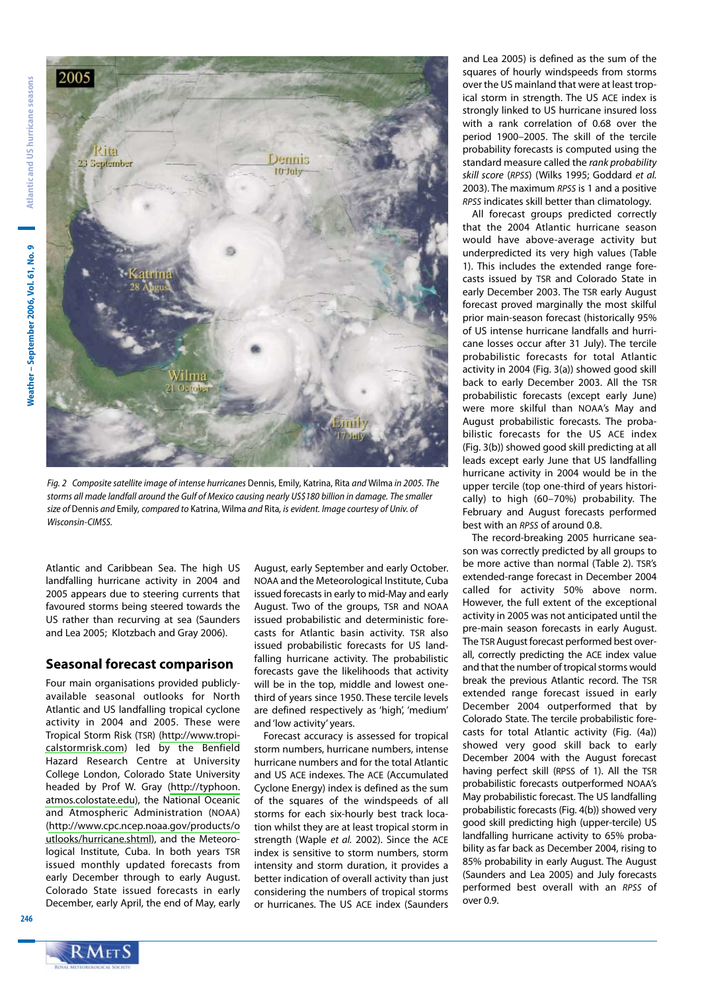Neather - September 2006, Vol. 61, No. 9



Fig. 2 Composite satellite image of intense hurricanes Dennis, Emily, Katrina, Rita and Wilma in 2005. The storms all made landfall around the Gulf of Mexico causing nearly US\$180 billion in damage. The smaller size of Dennis and Emily, compared to Katrina, Wilma and Rita, is evident. Image courtesy of Univ. of Wisconsin-CIMSS.

Atlantic and Caribbean Sea. The high US landfalling hurricane activity in 2004 and 2005 appears due to steering currents that favoured storms being steered towards the US rather than recurving at sea (Saunders and Lea 2005; Klotzbach and Gray 2006).

### **Seasonal forecast comparison**

Four main organisations provided publiclyavailable seasonal outlooks for North Atlantic and US landfalling tropical cyclone activity in 2004 and 2005. These were Tropical Storm Risk (TSR) (http://www.tropicalstormrisk.com) led by the Benfield Hazard Research Centre at University College London, Colorado State University headed by Prof W. Gray (http://typhoon. atmos.colostate.edu), the National Oceanic and Atmospheric Administration (NOAA) (http://www.cpc.ncep.noaa.gov/products/o utlooks/hurricane.shtml), and the Meteorological Institute, Cuba. In both years TSR issued monthly updated forecasts from early December through to early August. Colorado State issued forecasts in early December, early April, the end of May, early

August, early September and early October. NOAA and the Meteorological Institute, Cuba issued forecasts in early to mid-May and early August. Two of the groups, TSR and NOAA issued probabilistic and deterministic forecasts for Atlantic basin activity. TSR also issued probabilistic forecasts for US landfalling hurricane activity. The probabilistic forecasts gave the likelihoods that activity will be in the top, middle and lowest onethird of years since 1950. These tercile levels are defined respectively as 'high', 'medium' and 'low activity' years.

Forecast accuracy is assessed for tropical storm numbers, hurricane numbers, intense hurricane numbers and for the total Atlantic and US ACE indexes. The ACE (Accumulated Cyclone Energy) index is defined as the sum of the squares of the windspeeds of all storms for each six-hourly best track location whilst they are at least tropical storm in strength (Waple et al. 2002). Since the ACE index is sensitive to storm numbers, storm intensity and storm duration, it provides a better indication of overall activity than just considering the numbers of tropical storms or hurricanes. The US ACE index (Saunders and Lea 2005) is defined as the sum of the squares of hourly windspeeds from storms over the US mainland that were at least tropical storm in strength. The US ACE index is strongly linked to US hurricane insured loss with a rank correlation of 0.68 over the period 1900-2005. The skill of the tercile probability forecasts is computed using the standard measure called the rank probability skill score (RPSS) (Wilks 1995; Goddard et al. 2003). The maximum RPSS is 1 and a positive RPSS indicates skill better than climatology.

All forecast groups predicted correctly that the 2004 Atlantic hurricane season would have above-average activity but underpredicted its very high values (Table 1). This includes the extended range forecasts issued by TSR and Colorado State in early December 2003. The TSR early August forecast proved marginally the most skilful prior main-season forecast (historically 95% of US intense hurricane landfalls and hurricane losses occur after 31 July). The tercile probabilistic forecasts for total Atlantic activity in 2004 (Fig. 3(a)) showed good skill back to early December 2003. All the TSR probabilistic forecasts (except early June) were more skilful than NOAA's May and August probabilistic forecasts. The probabilistic forecasts for the US ACE index (Fig. 3(b)) showed good skill predicting at all leads except early June that US landfalling hurricane activity in 2004 would be in the upper tercile (top one-third of years historically) to high (60-70%) probability. The February and August forecasts performed best with an RPSS of around 0.8.

The record-breaking 2005 hurricane season was correctly predicted by all groups to be more active than normal (Table 2). TSR's extended-range forecast in December 2004 called for activity 50% above norm. However, the full extent of the exceptional activity in 2005 was not anticipated until the pre-main season forecasts in early August. The TSR August forecast performed best overall, correctly predicting the ACE index value and that the number of tropical storms would break the previous Atlantic record. The TSR extended range forecast issued in early December 2004 outperformed that by Colorado State. The tercile probabilistic forecasts for total Atlantic activity (Fig. (4a)) showed very good skill back to early December 2004 with the August forecast having perfect skill (RPSS of 1). All the TSR probabilistic forecasts outperformed NOAA's May probabilistic forecast. The US landfalling probabilistic forecasts (Fig. 4(b)) showed very good skill predicting high (upper-tercile) US landfalling hurricane activity to 65% probability as far back as December 2004, rising to 85% probability in early August. The August (Saunders and Lea 2005) and July forecasts performed best overall with an RPSS of over 0.9.

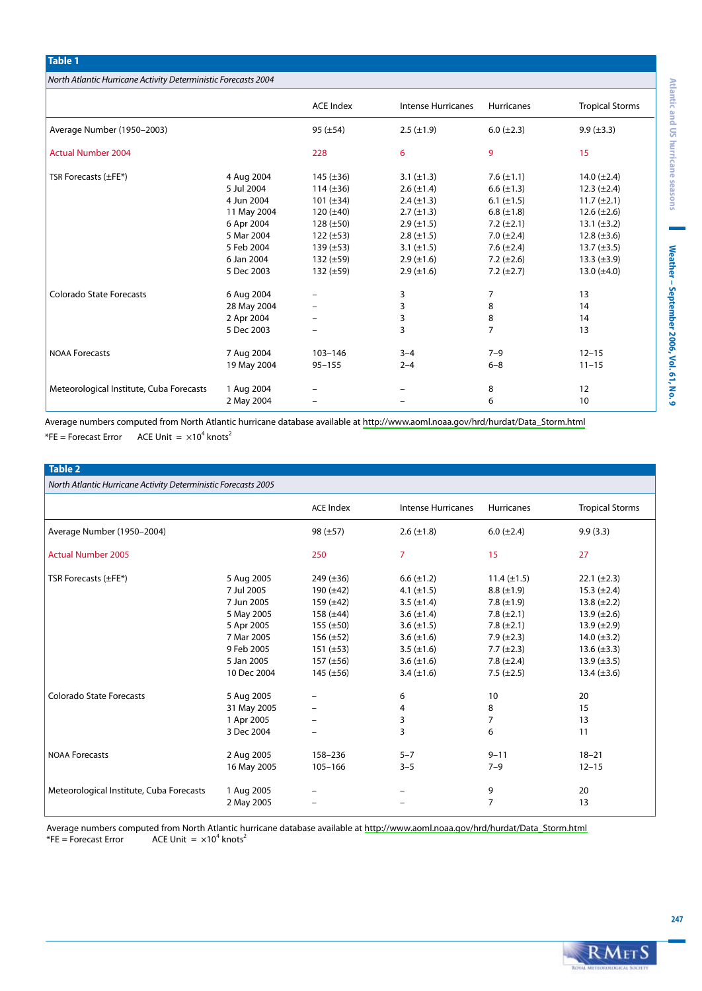| North Atlantic Hurricane Activity Deterministic Forecasts 2004 |
|----------------------------------------------------------------|

**Table 1** 

|                                          |                                                                                                                             | <b>ACE Index</b>                                                                                                                                               | <b>Intense Hurricanes</b>                                                                                                                                                     | <b>Hurricanes</b>                                                                                                                                                       | <b>Tropical Storms</b>                                                                                                                                                           |
|------------------------------------------|-----------------------------------------------------------------------------------------------------------------------------|----------------------------------------------------------------------------------------------------------------------------------------------------------------|-------------------------------------------------------------------------------------------------------------------------------------------------------------------------------|-------------------------------------------------------------------------------------------------------------------------------------------------------------------------|----------------------------------------------------------------------------------------------------------------------------------------------------------------------------------|
| Average Number (1950-2003)               |                                                                                                                             | $95 (\pm 54)$                                                                                                                                                  | $2.5 (\pm 1.9)$                                                                                                                                                               | $6.0 (\pm 2.3)$                                                                                                                                                         | $9.9 (\pm 3.3)$                                                                                                                                                                  |
| <b>Actual Number 2004</b>                |                                                                                                                             | 228                                                                                                                                                            | 6                                                                                                                                                                             | 9                                                                                                                                                                       | 15                                                                                                                                                                               |
| TSR Forecasts (±FE*)                     | 4 Aug 2004<br>5 Jul 2004<br>4 Jun 2004<br>11 May 2004<br>6 Apr 2004<br>5 Mar 2004<br>5 Feb 2004<br>6 Jan 2004<br>5 Dec 2003 | $145 (\pm 36)$<br>114 $(\pm 36)$<br>101 $(\pm 34)$<br>$120 (\pm 40)$<br>$128 (\pm 50)$<br>$122 (\pm 53)$<br>$139 (\pm 53)$<br>$132 (\pm 59)$<br>$132 (\pm 59)$ | 3.1 $(\pm 1.3)$<br>$2.6 (\pm 1.4)$<br>$2.4 (\pm 1.3)$<br>$2.7 (\pm 1.3)$<br>$2.9 \ (\pm 1.5)$<br>$2.8 (\pm 1.5)$<br>3.1 $(\pm 1.5)$<br>$2.9 \ (\pm 1.6)$<br>$2.9 \ (\pm 1.6)$ | 7.6 $(\pm 1.1)$<br>6.6 $(\pm 1.3)$<br>6.1 $(\pm 1.5)$<br>6.8 $(\pm 1.8)$<br>7.2 $(\pm 2.1)$<br>7.0 $(\pm 2.4)$<br>7.6 $(\pm 2.4)$<br>7.2 $(\pm 2.6)$<br>7.2 $(\pm 2.7)$ | 14.0 $(\pm 2.4)$<br>$12.3 (\pm 2.4)$<br>$11.7 (\pm 2.1)$<br>$12.6 (\pm 2.6)$<br>$13.1 (\pm 3.2)$<br>12.8 $(\pm 3.6)$<br>13.7 $(\pm 3.5)$<br>$13.3 (\pm 3.9)$<br>13.0 $(\pm 4.0)$ |
| <b>Colorado State Forecasts</b>          | 6 Aug 2004<br>28 May 2004<br>2 Apr 2004<br>5 Dec 2003                                                                       | -                                                                                                                                                              | 3<br>3<br>3<br>3                                                                                                                                                              | 7<br>8<br>8<br>$\overline{7}$                                                                                                                                           | 13<br>14<br>14<br>13                                                                                                                                                             |
| <b>NOAA Forecasts</b>                    | 7 Aug 2004<br>19 May 2004                                                                                                   | $103 - 146$<br>$95 - 155$                                                                                                                                      | $3 - 4$<br>$2 - 4$                                                                                                                                                            | $7 - 9$<br>$6 - 8$                                                                                                                                                      | $12 - 15$<br>$11 - 15$                                                                                                                                                           |
| Meteorological Institute, Cuba Forecasts | 1 Aug 2004<br>2 May 2004                                                                                                    |                                                                                                                                                                |                                                                                                                                                                               | 8<br>6                                                                                                                                                                  | 12<br>10                                                                                                                                                                         |

Average numbers computed from North Atlantic hurricane database available at http://www.aoml.noaa.gov/hrd/hurdat/Data\_Storm.html ACE Unit =  $\times 10^4$  knots<sup>2</sup>  $*FE = Forecast Error$ 

#### Table 2

| North Atlantic Hurricane Activity Deterministic Forecasts 2005 |                                                                                                                             |                                                                                                                                                                |                                                                                                                                                                         |                                                                                                                                                                          |                                                                                                                                                                                    |  |  |  |
|----------------------------------------------------------------|-----------------------------------------------------------------------------------------------------------------------------|----------------------------------------------------------------------------------------------------------------------------------------------------------------|-------------------------------------------------------------------------------------------------------------------------------------------------------------------------|--------------------------------------------------------------------------------------------------------------------------------------------------------------------------|------------------------------------------------------------------------------------------------------------------------------------------------------------------------------------|--|--|--|
|                                                                |                                                                                                                             | <b>ACE Index</b>                                                                                                                                               | <b>Intense Hurricanes</b>                                                                                                                                               | <b>Hurricanes</b>                                                                                                                                                        | <b>Tropical Storms</b>                                                                                                                                                             |  |  |  |
| Average Number (1950-2004)                                     |                                                                                                                             | $98 (\pm 57)$                                                                                                                                                  | $2.6 (\pm 1.8)$                                                                                                                                                         | $6.0 (\pm 2.4)$                                                                                                                                                          | 9.9(3.3)                                                                                                                                                                           |  |  |  |
| <b>Actual Number 2005</b>                                      |                                                                                                                             | 250                                                                                                                                                            | $\overline{7}$                                                                                                                                                          | 15                                                                                                                                                                       | 27                                                                                                                                                                                 |  |  |  |
| TSR Forecasts (±FE*)                                           | 5 Aug 2005<br>7 Jul 2005<br>7 Jun 2005<br>5 May 2005<br>5 Apr 2005<br>7 Mar 2005<br>9 Feb 2005<br>5 Jan 2005<br>10 Dec 2004 | $249 (\pm 36)$<br>190 $(\pm 42)$<br>159 $(\pm 42)$<br>$158 (\pm 44)$<br>$155 (\pm 50)$<br>$156 (\pm 52)$<br>$151 (\pm 53)$<br>$157 (\pm 56)$<br>$145 (\pm 56)$ | $6.6 (\pm 1.2)$<br>4.1 $(\pm 1.5)$<br>3.5 $(\pm 1.4)$<br>3.6 $(\pm 1.4)$<br>3.6 $(\pm 1.5)$<br>3.6 $(\pm 1.6)$<br>3.5 $(\pm 1.6)$<br>3.6 $(\pm 1.6)$<br>3.4 $(\pm 1.6)$ | $11.4 (\pm 1.5)$<br>$8.8 (\pm 1.9)$<br>7.8 $(\pm 1.9)$<br>7.8 $(\pm 2.1)$<br>$7.8 (\pm 2.1)$<br>$7.9 (\pm 2.3)$<br>$7.7 (\pm 2.3)$<br>7.8 $(\pm 2.4)$<br>7.5 $(\pm 2.5)$ | $22.1 (\pm 2.3)$<br>$15.3 (\pm 2.4)$<br>13.8 $(\pm 2.2)$<br>$13.9 \ (\pm 2.6)$<br>13.9 $(\pm 2.9)$<br>14.0 $(\pm 3.2)$<br>13.6 $(\pm 3.3)$<br>13.9 $(\pm 3.5)$<br>13.4 $(\pm 3.6)$ |  |  |  |
| Colorado State Forecasts                                       | 5 Aug 2005<br>31 May 2005<br>1 Apr 2005<br>3 Dec 2004                                                                       | $\overline{\phantom{m}}$<br>$\overline{\phantom{m}}$                                                                                                           | 6<br>4<br>3<br>3                                                                                                                                                        | 10<br>8<br>7<br>6                                                                                                                                                        | 20<br>15<br>13<br>11                                                                                                                                                               |  |  |  |
| <b>NOAA Forecasts</b>                                          | 2 Aug 2005<br>16 May 2005                                                                                                   | 158-236<br>105-166                                                                                                                                             | $5 - 7$<br>$3 - 5$                                                                                                                                                      | $9 - 11$<br>$7 - 9$                                                                                                                                                      | $18 - 21$<br>$12 - 15$                                                                                                                                                             |  |  |  |
| Meteorological Institute, Cuba Forecasts                       | 1 Aug 2005<br>2 May 2005                                                                                                    | $\overline{\phantom{m}}$                                                                                                                                       |                                                                                                                                                                         | 9<br>$\overline{7}$                                                                                                                                                      | 20<br>13                                                                                                                                                                           |  |  |  |

Average numbers computed from North Atlantic hurricane database available at http://www.aoml.noaa.gov/hrd/hurdat/Data\_Storm.html  $*FE = Forecast Error$ ACE Unit =  $\times 10^4$  knots<sup>2</sup>

Weather - September 2006, Vol. 61, No. 9

Atlantic and US hurricane seasons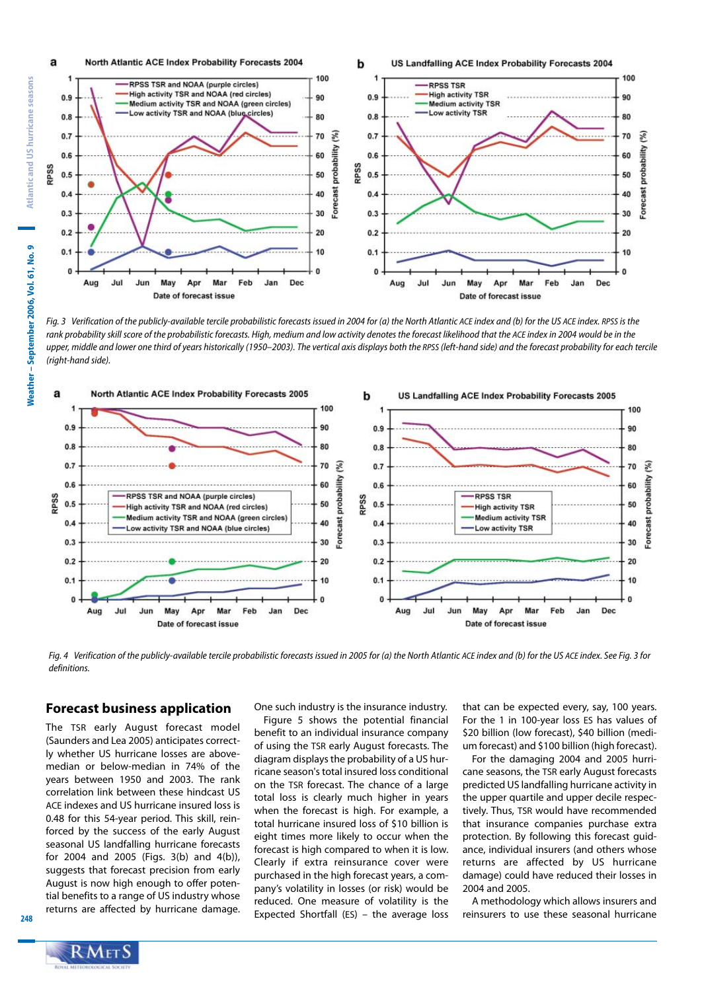

Fig. 3 Verification of the publicly-available tercile probabilistic forecasts issued in 2004 for (a) the North Atlantic ACE index and (b) for the US ACE index. RPSS is the rank probability skill score of the probabilistic forecasts. High, medium and low activity denotes the forecast likelihood that the ACE index in 2004 would be in the upper, middle and lower one third of years historically (1950-2003). The vertical axis displays both the RPSS (left-hand side) and the forecast probability for each tercile (right-hand side).



Fig. 4 Verification of the publicly-available tercile probabilistic forecasts issued in 2005 for (a) the North Atlantic ACE index and (b) for the US ACE index. See Fig. 3 for definitions.

#### **Forecast business application**

The TSR early August forecast model (Saunders and Lea 2005) anticipates correctly whether US hurricane losses are abovemedian or below-median in 74% of the years between 1950 and 2003. The rank correlation link between these hindcast US ACE indexes and US hurricane insured loss is 0.48 for this 54-year period. This skill, reinforced by the success of the early August seasonal US landfalling hurricane forecasts for 2004 and 2005 (Figs. 3(b) and 4(b)), suggests that forecast precision from early August is now high enough to offer potential benefits to a range of US industry whose returns are affected by hurricane damage.

One such industry is the insurance industry. Figure 5 shows the potential financial benefit to an individual insurance company of using the TSR early August forecasts. The diagram displays the probability of a US hurricane season's total insured loss conditional on the TSR forecast. The chance of a large total loss is clearly much higher in years when the forecast is high. For example, a total hurricane insured loss of \$10 billion is eight times more likely to occur when the forecast is high compared to when it is low. Clearly if extra reinsurance cover were purchased in the high forecast years, a company's volatility in losses (or risk) would be reduced. One measure of volatility is the Expected Shortfall (ES) – the average loss that can be expected every, say, 100 years. For the 1 in 100-year loss ES has values of \$20 billion (low forecast), \$40 billion (medium forecast) and \$100 billion (high forecast).

For the damaging 2004 and 2005 hurricane seasons, the TSR early August forecasts predicted US landfalling hurricane activity in the upper quartile and upper decile respectively. Thus, TSR would have recommended that insurance companies purchase extra protection. By following this forecast guidance, individual insurers (and others whose returns are affected by US hurricane damage) could have reduced their losses in 2004 and 2005.

A methodology which allows insurers and reinsurers to use these seasonal hurricane



 $248$